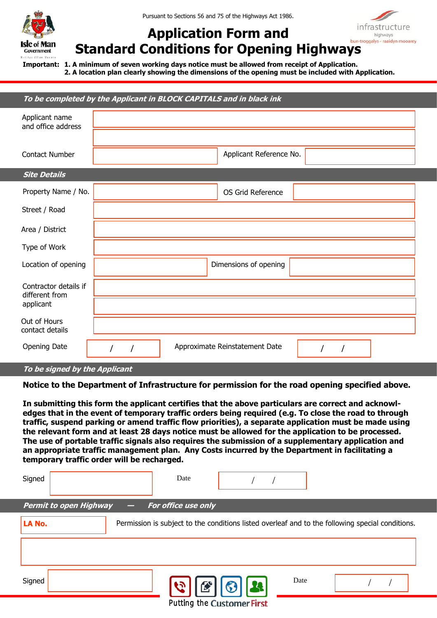

Pursuant to Sections 56 and 75 of the Highways Act 1986.



## **Application Form and Standard Conditions for Opening Highways**

**Important: 1. A minimum of seven working days notice must be allowed from receipt of Application. 2. A location plan clearly showing the dimensions of the opening must be included with Application.** 

## **To be completed by the Applicant in BLOCK CAPITALS and in black ink**

| Applicant name<br>and office address                 |                                |
|------------------------------------------------------|--------------------------------|
| <b>Contact Number</b>                                | Applicant Reference No.        |
| <b>Site Details</b>                                  |                                |
| Property Name / No.                                  | OS Grid Reference              |
| Street / Road                                        |                                |
| Area / District                                      |                                |
| Type of Work                                         |                                |
| Location of opening                                  | Dimensions of opening          |
| Contractor details if<br>different from<br>applicant |                                |
|                                                      |                                |
| Out of Hours<br>contact details                      |                                |
| Opening Date                                         | Approximate Reinstatement Date |

**To be signed by the Applicant** 

**Notice to the Department of Infrastructure for permission for the road opening specified above.** 

**In submitting this form the applicant certifies that the above particulars are correct and acknowledges that in the event of temporary traffic orders being required (e.g. To close the road to through traffic, suspend parking or amend traffic flow priorities), a separate application must be made using the relevant form and at least 28 days notice must be allowed for the application to be processed. The use of portable traffic signals also requires the submission of a supplementary application and an appropriate traffic management plan. Any Costs incurred by the Department in facilitating a temporary traffic order will be recharged.** 

| Signed                        | Date                                                                                             |      |  |
|-------------------------------|--------------------------------------------------------------------------------------------------|------|--|
| <b>Permit to open Highway</b> | For office use only                                                                              |      |  |
| LA No.                        | Permission is subject to the conditions listed overleaf and to the following special conditions. |      |  |
|                               |                                                                                                  |      |  |
|                               |                                                                                                  |      |  |
| Signed                        | 169<br>$ {\mathcal{R}} $<br>1(3)<br>ゼ                                                            | Date |  |
|                               | <b>Putting the Customer First</b>                                                                |      |  |